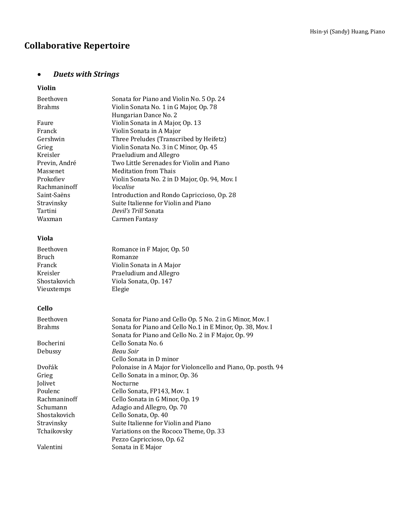# **Collaborative Repertoire**

# • *Duets with Strings*

# **Violin**

| Beethoven                  | Sonata for Piano and Violin No. 5 Op. 24                                                                                                                                       |
|----------------------------|--------------------------------------------------------------------------------------------------------------------------------------------------------------------------------|
| <b>Brahms</b>              | Violin Sonata No. 1 in G Major, Op. 78                                                                                                                                         |
|                            | Hungarian Dance No. 2                                                                                                                                                          |
| Faure                      | Violin Sonata in A Major, Op. 13                                                                                                                                               |
| Franck                     | Violin Sonata in A Major                                                                                                                                                       |
| Gershwin                   | Three Preludes (Transcribed by Heifetz)                                                                                                                                        |
| Grieg                      | Violin Sonata No. 3 in C Minor, Op. 45                                                                                                                                         |
| Kreisler                   | Praeludium and Allegro                                                                                                                                                         |
| Previn, André              | Two Little Serenades for Violin and Piano                                                                                                                                      |
| Massenet                   | <b>Meditation from Thais</b>                                                                                                                                                   |
| Prokofiev                  | Violin Sonata No. 2 in D Major, Op. 94, Mov. I                                                                                                                                 |
| Rachmaninoff               | Vocalise                                                                                                                                                                       |
| Saint-Saëns                | Introduction and Rondo Capriccioso, Op. 28                                                                                                                                     |
| Stravinsky                 | Suite Italienne for Violin and Piano                                                                                                                                           |
| Tartini                    | Devil's Trill Sonata                                                                                                                                                           |
| Waxman                     | Carmen Fantasy                                                                                                                                                                 |
| Viola                      |                                                                                                                                                                                |
| Beethoven                  | Romance in F Major, Op. 50                                                                                                                                                     |
| Bruch                      | Romanze                                                                                                                                                                        |
| Franck                     | Violin Sonata in A Major                                                                                                                                                       |
| Kreisler                   | Praeludium and Allegro                                                                                                                                                         |
| Shostakovich               | Viola Sonata, Op. 147                                                                                                                                                          |
| Vieuxtemps                 | Elegie                                                                                                                                                                         |
| Cello                      |                                                                                                                                                                                |
|                            |                                                                                                                                                                                |
| Beethoven<br><b>Brahms</b> | Sonata for Piano and Cello Op. 5 No. 2 in G Minor, Mov. I<br>Sonata for Piano and Cello No.1 in E Minor, Op. 38, Mov. I<br>Sonata for Piano and Cello No. 2 in F Major, Op. 99 |
| Bocherini                  | Cello Sonata No. 6                                                                                                                                                             |
| Debussy                    | Beau Soir                                                                                                                                                                      |
|                            | Cello Sonata in D minor                                                                                                                                                        |
| Dvořák                     | Polonaise in A Major for Violoncello and Piano, Op. posth. 94                                                                                                                  |
| Grieg                      | Cello Sonata in a minor, Op. 36                                                                                                                                                |
| Jolivet                    | Nocturne                                                                                                                                                                       |
| Poulenc                    | Cello Sonata, FP143, Mov. 1                                                                                                                                                    |
| Rachmaninoff               | Cello Sonata in G Minor, Op. 19                                                                                                                                                |
| Schumann                   | Adagio and Allegro, Op. 70                                                                                                                                                     |
| Shostakovich               | Cello Sonata, Op. 40                                                                                                                                                           |
| Stravinsky                 | Suite Italienne for Violin and Piano                                                                                                                                           |
| Tchaikovsky                | Variations on the Rococo Theme, Op. 33                                                                                                                                         |
|                            | Pezzo Capriccioso, Op. 62                                                                                                                                                      |
| Valentini                  | Sonata in E Major                                                                                                                                                              |
|                            |                                                                                                                                                                                |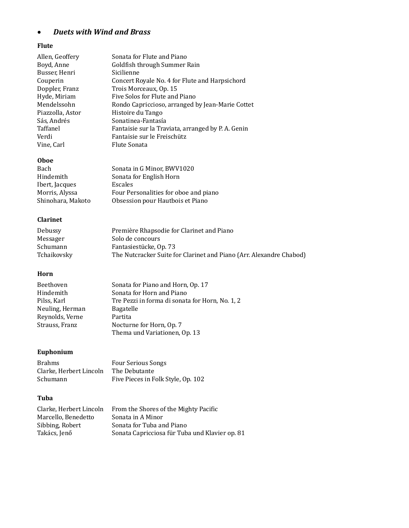# • *Duets with Wind and Brass*

#### **Flute**

| Allen, Geoffery  | Sonata for Flute and Piano                         |
|------------------|----------------------------------------------------|
| Boyd, Anne       | Goldfish through Summer Rain                       |
| Busser, Henri    | Sicilienne                                         |
| Couperin         | Concert Royale No. 4 for Flute and Harpsichord     |
| Doppler, Franz   | Trois Morceaux, Op. 15                             |
| Hyde, Miriam     | Five Solos for Flute and Piano                     |
| Mendelssohn      | Rondo Capriccioso, arranged by Jean-Marie Cottet   |
| Piazzolla, Astor | Histoire du Tango                                  |
| Sás, Andrés      | Sonatinea-Fantasía                                 |
| Taffanel         | Fantaisie sur la Traviata, arranged by P. A. Genin |
| Verdi            | Fantaisie sur le Freischütz                        |
| Vine, Carl       | Flute Sonata                                       |
| <b>Oboe</b>      |                                                    |
| Bach             | Sonata in G Minor, BWV1020                         |

| Bach              | Sonata in G Minor, BWV1020            |
|-------------------|---------------------------------------|
| Hindemith         | Sonata for English Horn               |
| Ibert, Jacques    | Escales                               |
| Morris, Alyssa    | Four Personalities for oboe and piano |
| Shinohara, Makoto | Obsession pour Hautbois et Piano      |

#### **Clarinet**

| Debussy     | Première Rhapsodie for Clarinet and Piano                           |
|-------------|---------------------------------------------------------------------|
| Messager    | Solo de concours                                                    |
| Schumann    | Fantasiestücke, Op. 73                                              |
| Tchaikovsky | The Nutcracker Suite for Clarinet and Piano (Arr. Alexandre Chabod) |

#### **Horn**

| Beethoven       | Sonata for Piano and Horn, Op. 17               |
|-----------------|-------------------------------------------------|
| Hindemith       | Sonata for Horn and Piano                       |
| Pilss, Karl     | Tre Pezzi in forma di sonata for Horn, No. 1, 2 |
| Neuling, Herman | Bagatelle                                       |
| Reynolds, Verne | Partita                                         |
| Strauss, Franz  | Nocturne for Horn, Op. 7                        |
|                 | Thema und Variationen, Op. 13                   |

# **Euphonium**

| <b>Brahms</b>           | <b>Four Serious Songs</b>          |
|-------------------------|------------------------------------|
| Clarke. Herbert Lincoln | The Debutante                      |
| Schumann                | Five Pieces in Folk Style, Op. 102 |

#### **Tuba**

| Clarke. Herbert Lincoln | From the Shores of the Mighty Pacific          |
|-------------------------|------------------------------------------------|
| Marcello, Benedetto     | Sonata in A Minor                              |
| Sibbing, Robert         | Sonata for Tuba and Piano                      |
| Takács, Jenő            | Sonata Capricciosa für Tuba und Klavier op. 81 |
|                         |                                                |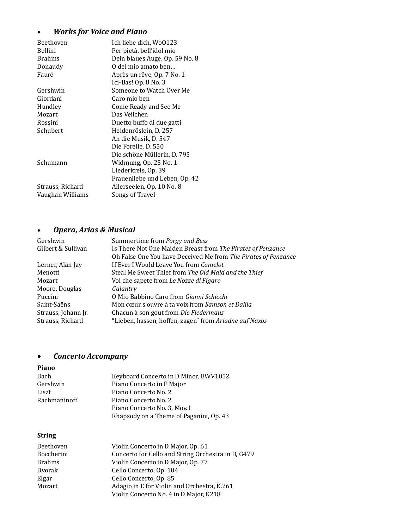# • *Works for Voice and Piano*

| Beethoven        | Ich liebe dich, Wo0123         |
|------------------|--------------------------------|
| Bellini          | Per pietà, bell'idol mio       |
| <b>Brahms</b>    | Dein blaues Auge, Op. 59 No. 8 |
| Donaudy          | O del mio amato ben            |
| Fauré            | Après un rêve, Op. 7 No. 1     |
|                  | Ici-Bas! Op. 8 No. 3           |
| Gershwin         | Someone to Watch Over Me       |
| Giordani         | Caro mio ben                   |
| Hundley          | Come Ready and See Me          |
| Mozart           | Das Veilchen                   |
| Rossini          | Duetto buffo di due gatti      |
| Schubert         | Heidenröslein, D. 257          |
|                  | An die Musik, D. 547           |
|                  | Die Forelle, D. 550            |
|                  | Die schöne Müllerin, D. 795    |
| Schumann         | Widmung, Op. 25 No. 1          |
|                  | Liederkreis, Op. 39            |
|                  | Frauenliebe und Leben, Op. 42  |
| Strauss, Richard | Allerseelen, Op. 10 No. 8      |
| Vaughan Williams | Songs of Travel                |

# • *Opera, Arias & Musical*

| Gershwin            | Summertime from Porgy and Bess                                 |
|---------------------|----------------------------------------------------------------|
| Gilbert & Sullivan  | Is There Not One Maiden Breast from The Pirates of Penzance    |
|                     | Oh False One You have Deceived Me from The Pirates of Penzance |
| Lerner, Alan Jay    | If Ever I Would Leave You from <i>Camelot</i>                  |
| Menotti             | Steal Me Sweet Thief from The Old Maid and the Thief           |
| Mozart              | Voi che sapete from Le Nozze di Figaro                         |
| Moore, Douglas      | Galantry                                                       |
| Puccini             | O Mio Babbino Caro from Gianni Schicchi                        |
| Saint-Saëns         | Mon cœur s'ouvre à ta voix from Samson et Dalila               |
| Strauss, Johann Jr. | Chacun à son gout from Die Fledermaus                          |
| Strauss, Richard    | "Lieben, hassen, hoffen, zagen" from Ariadne auf Naxos         |
|                     |                                                                |

# • *Concerto Accompany*

### **Piano**

| Bach         | Keyboard Concerto in D Minor, BWV1052   |
|--------------|-----------------------------------------|
| Gershwin     | Piano Concerto in F Major               |
| Liszt        | Piano Concerto No. 2                    |
| Rachmaninoff | Piano Concerto No. 2                    |
|              | Piano Concerto No. 3, Mov. I            |
|              | Rhapsody on a Theme of Paganini, Op. 43 |

## **String**

| Beethoven     | Violin Concerto in D Major, Op. 61                 |
|---------------|----------------------------------------------------|
| Boccherini    | Concerto for Cello and String Orchestra in D, G479 |
| <b>Brahms</b> | Violin Concerto in D Major, Op. 77                 |
| Dvorak        | Cello Concerto, Op. 104                            |
| Elgar         | Cello Concerto, Op. 85                             |
| Mozart        | Adagio in E for Violin and Orchestra, K.261        |
|               | Violin Concerto No. 4 in D Major, K218             |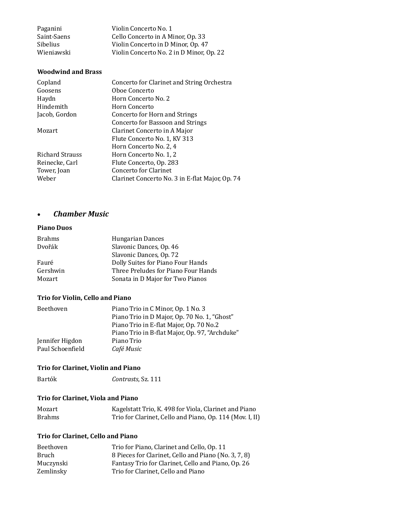| Paganini        | Violin Concerto No. 1                    |
|-----------------|------------------------------------------|
| Saint-Saens     | Cello Concerto in A Minor, Op. 33        |
| <b>Sibelius</b> | Violin Concerto in D Minor, Op. 47       |
| Wieniawski      | Violin Concerto No. 2 in D Minor, Op. 22 |

#### **Woodwind and Brass**

| Copland         | Concerto for Clarinet and String Orchestra      |
|-----------------|-------------------------------------------------|
| Goosens         | Oboe Concerto                                   |
| Haydn           | Horn Concerto No. 2                             |
| Hindemith       | Horn Concerto                                   |
| Jacob, Gordon   | Concerto for Horn and Strings                   |
|                 | Concerto for Bassoon and Strings                |
| Mozart          | Clarinet Concerto in A Major                    |
|                 | Flute Concerto No. 1, KV 313                    |
|                 | Horn Concerto No. 2, 4                          |
| Richard Strauss | Horn Concerto No. 1, 2                          |
| Reinecke, Carl  | Flute Concerto, Op. 283                         |
| Tower, Joan     | Concerto for Clarinet                           |
| Weber           | Clarinet Concerto No. 3 in E-flat Major, Op. 74 |
|                 |                                                 |

### • *Chamber Music*

#### **Piano Duos**

| <b>Brahms</b> | Hungarian Dances                    |
|---------------|-------------------------------------|
| Dvořák        | Slavonic Dances, Op. 46             |
|               | Slavonic Dances, Op. 72             |
| Fauré         | Dolly Suites for Piano Four Hands   |
| Gershwin      | Three Preludes for Piano Four Hands |
| Mozart        | Sonata in D Major for Two Pianos    |

#### **Trio for Violin, Cello and Piano**

| Beethoven        | Piano Trio in C Minor, Op. 1 No. 3             |
|------------------|------------------------------------------------|
|                  | Piano Trio in D Major, Op. 70 No. 1, "Ghost"   |
|                  | Piano Trio in E-flat Major, Op. 70 No.2        |
|                  | Piano Trio in B-flat Major, Op. 97, "Archduke" |
| Jennifer Higdon  | Piano Trio                                     |
| Paul Schoenfield | Café Music                                     |

## **Trio for Clarinet, Violin and Piano**

| Bartók | Contrasts, Sz. 111 |  |
|--------|--------------------|--|
|        |                    |  |

#### **Trio for Clarinet, Viola and Piano**

| Mozart        | Kagelstatt Trio, K. 498 for Viola, Clarinet and Piano    |
|---------------|----------------------------------------------------------|
| <b>Brahms</b> | Trio for Clarinet, Cello and Piano, Op. 114 (Mov. I, II) |

#### **Trio for Clarinet, Cello and Piano**

| Beethoven | Trio for Piano, Clarinet and Cello, Op. 11           |
|-----------|------------------------------------------------------|
| Bruch     | 8 Pieces for Clarinet, Cello and Piano (No. 3, 7, 8) |
| Muczynski | Fantasy Trio for Clarinet, Cello and Piano, Op. 26   |
| Zemlinsky | Trio for Clarinet. Cello and Piano                   |